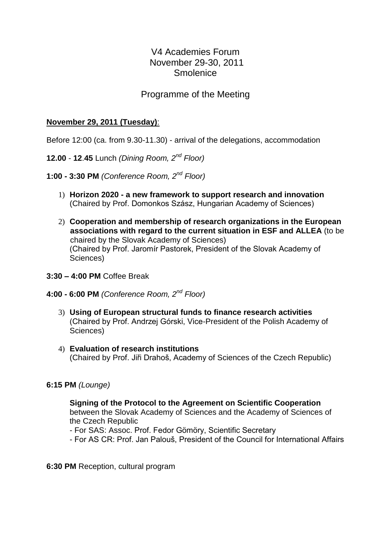# V4 Academies Forum November 29-30, 2011 **Smolenice**

## Programme of the Meeting

### **November 29, 2011 (Tuesday)**:

Before 12:00 (ca. from 9.30-11.30) - arrival of the delegations, accommodation

- **12.00 12**.**45** Lunch *(Dining Room, 2nd Floor)*
- **1:00 - 3:30 PM** *(Conference Room, 2nd Floor)*
	- 1) **Horizon 2020 - a new framework to support research and innovation** (Chaired by Prof. Domonkos Szász, Hungarian Academy of Sciences)
	- 2) **Cooperation and membership of research organizations in the European associations with regard to the current situation in ESF and ALLEA** (to be chaired by the Slovak Academy of Sciences) (Chaired by Prof. Jaromír Pastorek, President of the Slovak Academy of Sciences)
- **3:30 – 4:00 PM** Coffee Break
- **4:00 - 6:00 PM** *(Conference Room, 2nd Floor)*
	- 3) **Using of European structural funds to finance research activities** (Chaired by Prof. Andrzej Górski, Vice-President of the Polish Academy of Sciences)
	- 4) **Evaluation of research institutions** (Chaired by Prof. Jiři Drahoš, Academy of Sciences of the Czech Republic)

#### **6:15 PM** *(Lounge)*

**Signing of the Protocol to the Agreement on Scientific Cooperation** between the Slovak Academy of Sciences and the Academy of Sciences of the Czech Republic

- For SAS: Assoc. Prof. Fedor Gömöry, Scientific Secretary

- For AS CR: Prof. Jan Palouš, President of the Council for International Affairs

**6:30 PM** Reception, cultural program